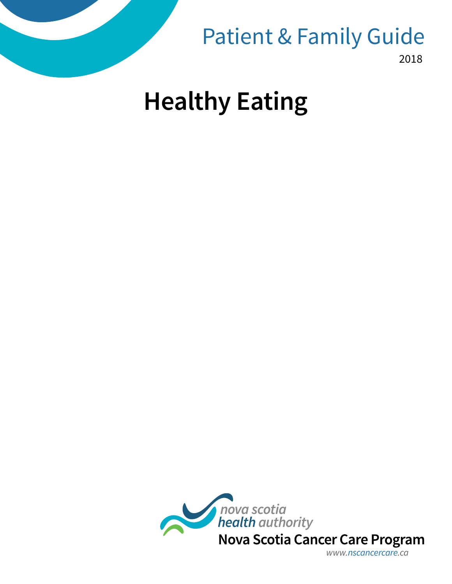

Patient & Family Guide

2018

# **Healthy Eating**



*www.nscancercare.ca*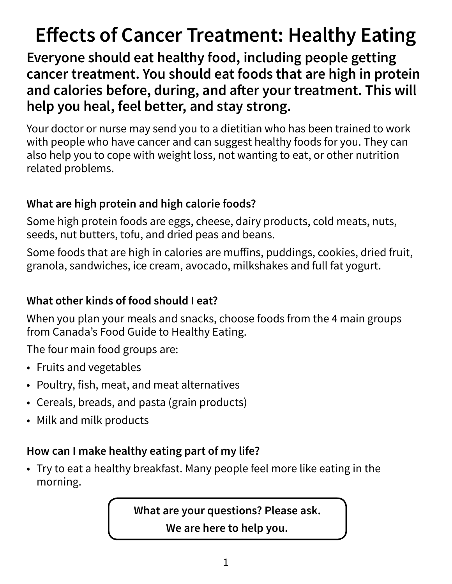## **Effects of Cancer Treatment: Healthy Eating**

**Everyone should eat healthy food, including people getting cancer treatment. You should eat foods that are high in protein and calories before, during, and after your treatment. This will help you heal, feel better, and stay strong.**

Your doctor or nurse may send you to a dietitian who has been trained to work with people who have cancer and can suggest healthy foods for you. They can also help you to cope with weight loss, not wanting to eat, or other nutrition related problems.

#### **What are high protein and high calorie foods?**

Some high protein foods are eggs, cheese, dairy products, cold meats, nuts, seeds, nut butters, tofu, and dried peas and beans.

Some foods that are high in calories are muffins, puddings, cookies, dried fruit, granola, sandwiches, ice cream, avocado, milkshakes and full fat yogurt.

#### **What other kinds of food should I eat?**

When you plan your meals and snacks, choose foods from the 4 main groups from Canada's Food Guide to Healthy Eating.

The four main food groups are:

- Fruits and vegetables
- Poultry, fish, meat, and meat alternatives
- Cereals, breads, and pasta (grain products)
- Milk and milk products

#### **How can I make healthy eating part of my life?**

• Try to eat a healthy breakfast. Many people feel more like eating in the morning.

**What are your questions? Please ask.** 

**We are here to help you.**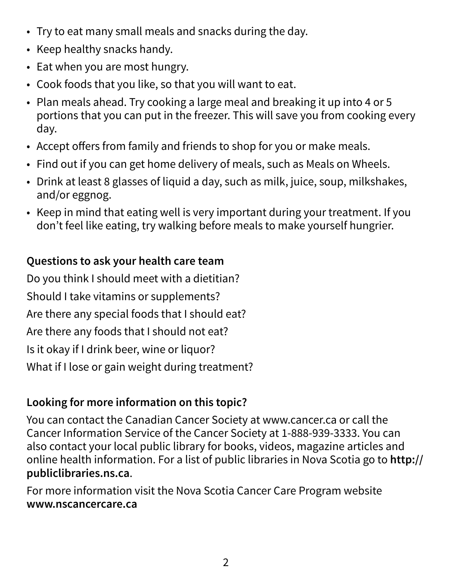- Try to eat many small meals and snacks during the day.
- Keep healthy snacks handy.
- Eat when you are most hungry.
- Cook foods that you like, so that you will want to eat.
- Plan meals ahead. Try cooking a large meal and breaking it up into 4 or 5 portions that you can put in the freezer. This will save you from cooking every day.
- Accept offers from family and friends to shop for you or make meals.
- Find out if you can get home delivery of meals, such as Meals on Wheels.
- Drink at least 8 glasses of liquid a day, such as milk, juice, soup, milkshakes, and/or eggnog.
- Keep in mind that eating well is very important during your treatment. If you don't feel like eating, try walking before meals to make yourself hungrier.

#### **Questions to ask your health care team**

Do you think I should meet with a dietitian? Should I take vitamins or supplements? Are there any special foods that I should eat? Are there any foods that I should not eat? Is it okay if I drink beer, wine or liquor? What if I lose or gain weight during treatment?

### **Looking for more information on this topic?**

You can contact the Canadian Cancer Society at www.cancer.ca or call the Cancer Information Service of the Cancer Society at 1-888-939-3333. You can also contact your local public library for books, videos, magazine articles and online health information. For a list of public libraries in Nova Scotia go to **http:// publiclibraries.ns.ca**.

For more information visit the Nova Scotia Cancer Care Program website **www.nscancercare.ca**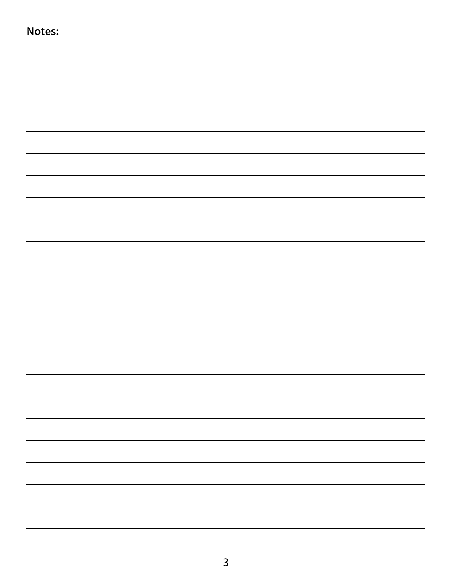| Notes: |  |
|--------|--|
|        |  |
|        |  |
|        |  |
|        |  |
|        |  |
|        |  |
|        |  |
|        |  |
|        |  |
|        |  |
|        |  |
|        |  |
|        |  |
|        |  |
|        |  |
|        |  |
|        |  |
|        |  |
|        |  |
|        |  |
|        |  |
|        |  |
|        |  |
|        |  |
|        |  |
|        |  |
|        |  |
|        |  |
|        |  |
|        |  |
|        |  |
|        |  |
|        |  |